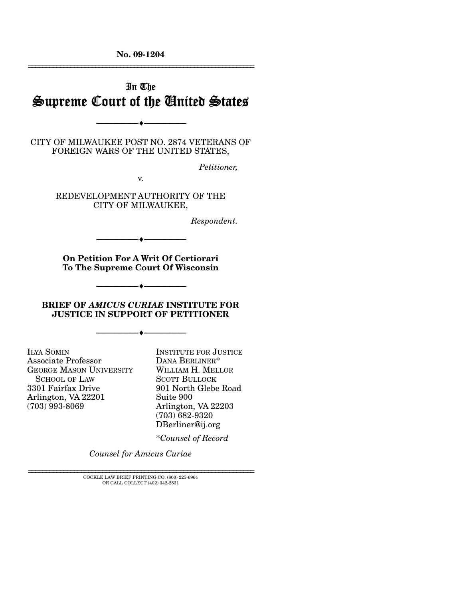**No. 09-1204**  ================================================================

# In The Supreme Court of the United States

CITY OF MILWAUKEE POST NO. 2874 VETERANS OF FOREIGN WARS OF THE UNITED STATES,

--------------------------------- ♦ ---------------------------------

*Petitioner,* 

v.

REDEVELOPMENT AUTHORITY OF THE CITY OF MILWAUKEE,

*Respondent.* 

**On Petition For A Writ Of Certiorari To The Supreme Court Of Wisconsin** 

--------------------------------- ♦ ---------------------------------

**BRIEF OF** *AMICUS CURIAE* **INSTITUTE FOR JUSTICE IN SUPPORT OF PETITIONER** 

--------------------------------- ♦ ---------------------------------

--------------------------------- ♦ ---------------------------------

ILYA SOMIN Associate Professor GEORGE MASON UNIVERSITY SCHOOL OF LAW 3301 Fairfax Drive Arlington, VA 22201 (703) 993-8069

INSTITUTE FOR JUSTICE DANA BERLINER\* WILLIAM H. MELLOR SCOTT BULLOCK 901 North Glebe Road Suite 900 Arlington, VA 22203 (703) 682-9320 DBerliner@ij.org

\**Counsel of Record*

*Counsel for Amicus Curiae* 

================================================================ COCKLE LAW BRIEF PRINTING CO. (800) 225-6964 OR CALL COLLECT (402) 342-2831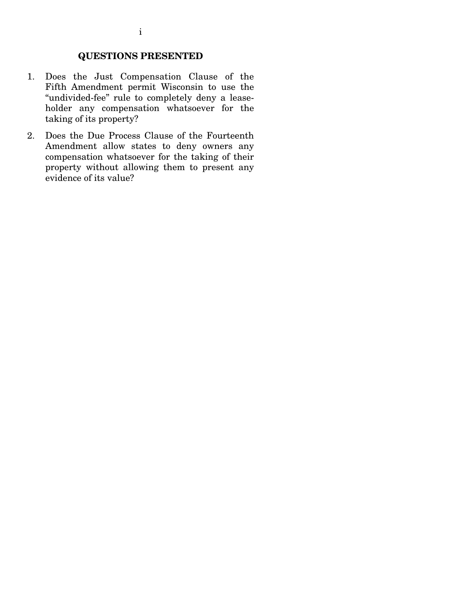## **QUESTIONS PRESENTED**

- 1. Does the Just Compensation Clause of the Fifth Amendment permit Wisconsin to use the "undivided-fee" rule to completely deny a leaseholder any compensation whatsoever for the taking of its property?
- 2. Does the Due Process Clause of the Fourteenth Amendment allow states to deny owners any compensation whatsoever for the taking of their property without allowing them to present any evidence of its value?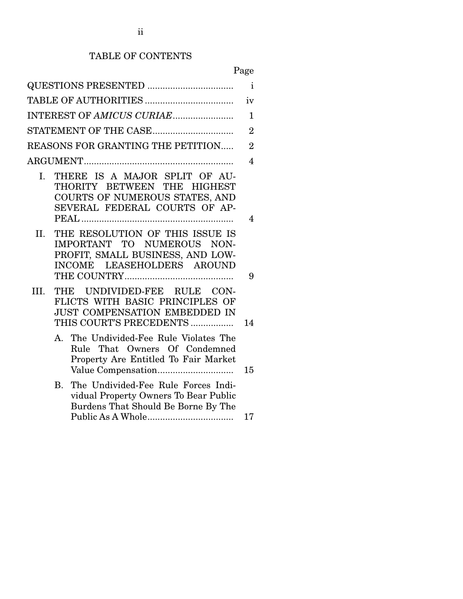# TABLE OF CONTENTS

# Page

|                |                 | QUESTIONS PRESENTED                                                                                                                                                                                                                 | $\mathbf{i}$   |
|----------------|-----------------|-------------------------------------------------------------------------------------------------------------------------------------------------------------------------------------------------------------------------------------|----------------|
|                |                 |                                                                                                                                                                                                                                     | iv             |
|                |                 | INTEREST OF AMICUS CURIAE                                                                                                                                                                                                           | $\mathbf{1}$   |
|                |                 |                                                                                                                                                                                                                                     | $\overline{2}$ |
|                |                 | REASONS FOR GRANTING THE PETITION                                                                                                                                                                                                   | $\overline{2}$ |
|                |                 |                                                                                                                                                                                                                                     | $\overline{4}$ |
| $\mathbf{I}$ . |                 | THERE IS A MAJOR SPLIT OF AU-<br>THORITY BETWEEN THE HIGHEST<br>COURTS OF NUMEROUS STATES, AND<br>SEVERAL FEDERAL COURTS OF AP-                                                                                                     | 4              |
| II.            |                 | THE RESOLUTION OF THIS ISSUE IS<br>IMPORTANT TO NUMEROUS NON-<br>PROFIT, SMALL BUSINESS, AND LOW-<br>INCOME LEASEHOLDERS AROUND                                                                                                     | 9              |
| III.           |                 | THE UNDIVIDED-FEE RULE CON-<br>FLICTS WITH BASIC PRINCIPLES OF<br><b>JUST COMPENSATION EMBEDDED IN</b><br>THIS COURT'S PRECEDENTS                                                                                                   | 14             |
|                | A.<br>$\rm B$ . | The Undivided-Fee Rule Violates The<br>Rule That Owners Of Condemned<br>Property Are Entitled To Fair Market<br>The Undivided-Fee Rule Forces Indi-<br>vidual Property Owners To Bear Public<br>Burdens That Should Be Borne By The | 15             |
|                |                 |                                                                                                                                                                                                                                     | 17             |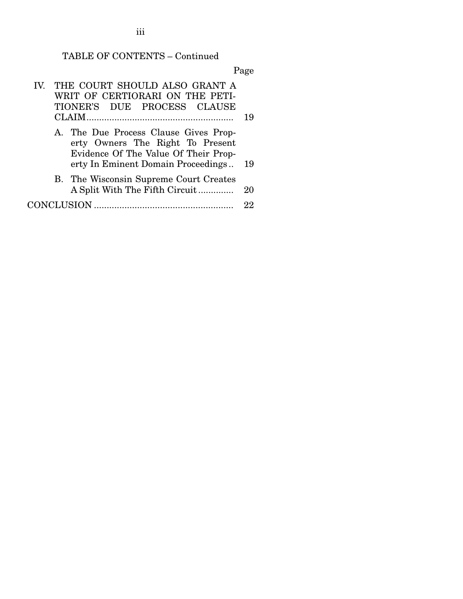# TABLE OF CONTENTS – Continued

Page

| $\mathbf{IV}$ | THE COURT SHOULD ALSO GRANT A<br>WRIT OF CERTIORARI ON THE PETI-<br>TIONER'S DUE PROCESS CLAUSE                                                         |     |
|---------------|---------------------------------------------------------------------------------------------------------------------------------------------------------|-----|
|               |                                                                                                                                                         | 19  |
|               | A. The Due Process Clause Gives Prop-<br>erty Owners The Right To Present<br>Evidence Of The Value Of Their Prop-<br>erty In Eminent Domain Proceedings | 19  |
|               | B. The Wisconsin Supreme Court Creates                                                                                                                  |     |
|               | A Split With The Fifth Circuit                                                                                                                          | 20  |
|               | CONCLUSION                                                                                                                                              | 99. |

iii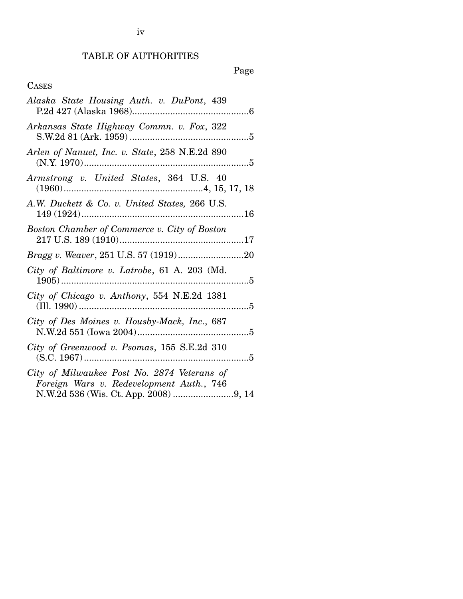# TABLE OF AUTHORITIES

Page

## CASES

| Alaska State Housing Auth. v. DuPont, 439                                               |
|-----------------------------------------------------------------------------------------|
| Arkansas State Highway Commn. v. Fox, 322                                               |
| Arlen of Nanuet, Inc. v. State, 258 N.E.2d 890                                          |
| Armstrong v. United States, 364 U.S. 40                                                 |
| A.W. Duckett & Co. v. United States, 266 U.S.                                           |
| Boston Chamber of Commerce v. City of Boston                                            |
|                                                                                         |
| City of Baltimore v. Latrobe, 61 A. 203 (Md.                                            |
| City of Chicago v. Anthony, 554 N.E.2d 1381                                             |
| City of Des Moines v. Housby-Mack, Inc., 687                                            |
| City of Greenwood v. Psomas, 155 S.E.2d 310                                             |
| City of Milwaukee Post No. 2874 Veterans of<br>Foreign Wars v. Redevelopment Auth., 746 |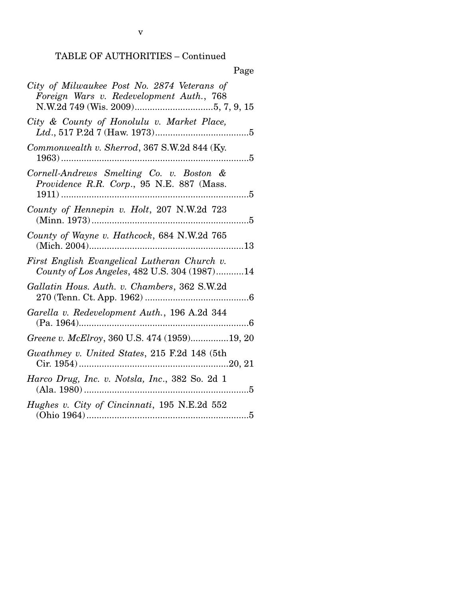|--|

| City of Milwaukee Post No. 2874 Veterans of<br>Foreign Wars v. Redevelopment Auth., 768      |
|----------------------------------------------------------------------------------------------|
| City & County of Honolulu v. Market Place,                                                   |
| Commonwealth v. Sherrod, 367 S.W.2d 844 (Ky.                                                 |
| Cornell-Andrews Smelting Co. v. Boston &<br>Providence R.R. Corp., 95 N.E. 887 (Mass.        |
| County of Hennepin v. Holt, 207 N.W.2d 723                                                   |
| County of Wayne v. Hathcock, 684 N.W.2d 765                                                  |
| First English Evangelical Lutheran Church v.<br>County of Los Angeles, 482 U.S. 304 (1987)14 |
| Gallatin Hous. Auth. v. Chambers, 362 S.W.2d                                                 |
| Garella v. Redevelopment Auth., 196 A.2d 344                                                 |
| Greene v. McElroy, 360 U.S. 474 (1959)19, 20                                                 |
| Gwathmey v. United States, 215 F.2d 148 (5th                                                 |
| Harco Drug, Inc. v. Notsla, Inc., 382 So. 2d 1                                               |
| Hughes v. City of Cincinnati, 195 N.E.2d 552                                                 |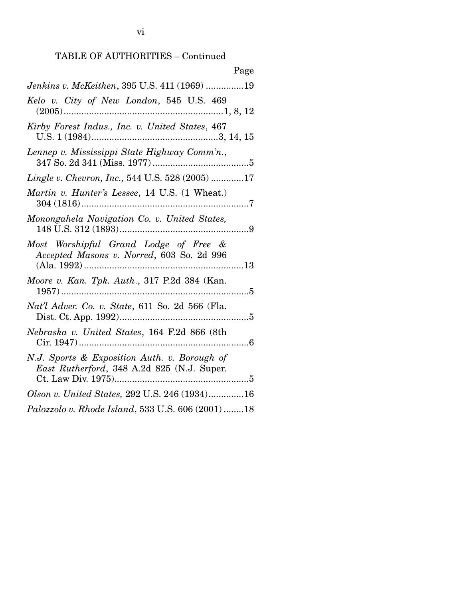| Page                                                                                       |
|--------------------------------------------------------------------------------------------|
| Jenkins v. McKeithen, 395 U.S. 411 (1969) 19                                               |
| Kelo v. City of New London, 545 U.S. 469                                                   |
| Kirby Forest Indus., Inc. v. United States, 467                                            |
| Lennep v. Mississippi State Highway Comm'n.,                                               |
| Lingle v. Chevron, Inc., 544 U.S. 528 (2005) 17                                            |
| Martin v. Hunter's Lessee, 14 U.S. (1 Wheat.)                                              |
| Monongahela Navigation Co. v. United States,                                               |
| Most Worshipful Grand Lodge of Free &<br>Accepted Masons v. Norred, 603 So. 2d 996         |
| Moore v. Kan. Tpk. Auth., 317 P.2d 384 (Kan.                                               |
| Nat'l Adver. Co. v. State, 611 So. 2d 566 (Fla.                                            |
| Nebraska v. United States, 164 F.2d 866 (8th                                               |
| N.J. Sports & Exposition Auth. v. Borough of<br>East Rutherford, 348 A.2d 825 (N.J. Super. |
| Olson v. United States, 292 U.S. 246 (1934)16                                              |
| Palozzolo v. Rhode Island, 533 U.S. 606 (2001) 18                                          |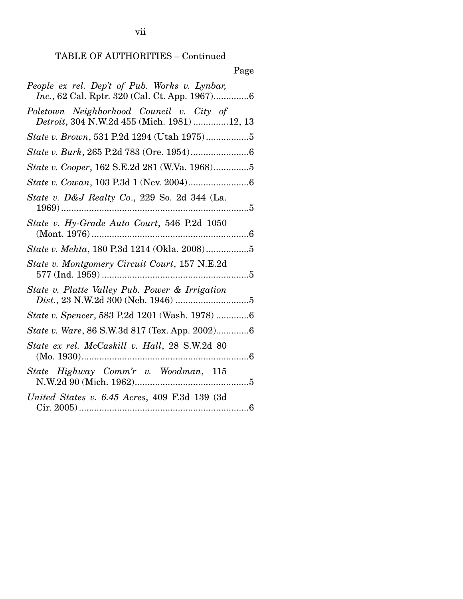# Page

| People ex rel. Dep't of Pub. Works v. Lynbar,<br>Inc., 62 Cal. Rptr. 320 (Cal. Ct. App. 1967)6 |
|------------------------------------------------------------------------------------------------|
| Poletown Neighborhood Council v. City of<br>Detroit, 304 N.W.2d 455 (Mich. 1981) 12, 13        |
| State v. Brown, 531 P.2d 1294 (Utah 1975)5                                                     |
|                                                                                                |
| State v. Cooper, 162 S.E.2d 281 (W.Va. 1968)5                                                  |
|                                                                                                |
| State v. D&J Realty Co., 229 So. 2d 344 (La.                                                   |
| State v. Hy-Grade Auto Court, 546 P.2d 1050                                                    |
|                                                                                                |
| State v. Montgomery Circuit Court, 157 N.E.2d                                                  |
| State v. Platte Valley Pub. Power & Irrigation                                                 |
| State v. Spencer, 583 P.2d 1201 (Wash. 1978) 6                                                 |
| State v. Ware, 86 S.W.3d 817 (Tex. App. 2002)6                                                 |
| State ex rel. McCaskill v. Hall, 28 S.W.2d 80                                                  |
| State Highway Comm'r v. Woodman, 115                                                           |
| United States v. 6.45 Acres, 409 F.3d 139 (3d                                                  |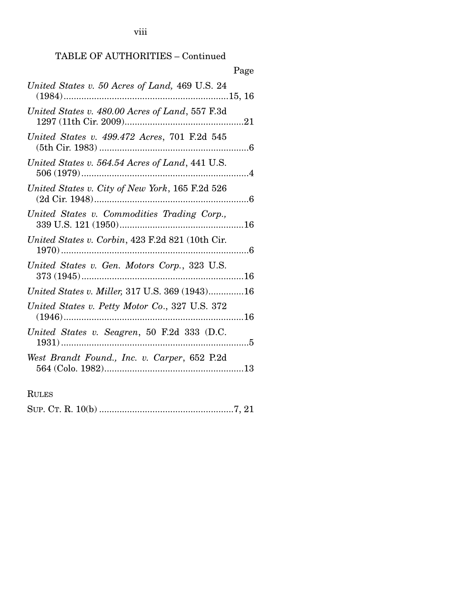viii

# TABLE OF AUTHORITIES – Continued

| Page                                                                |
|---------------------------------------------------------------------|
| United States v. 50 Acres of Land, 469 U.S. 24                      |
| United States v. 480.00 Acres of Land, 557 F.3d                     |
| United States v. 499.472 Acres, 701 F.2d 545                        |
| United States v. 564.54 Acres of Land, 441 U.S.                     |
| United States v. City of New York, 165 F.2d 526<br>$(2d$ Cir. 1948) |
| United States v. Commodities Trading Corp.,                         |
| United States v. Corbin, 423 F.2d 821 (10th Cir.                    |
| United States v. Gen. Motors Corp., 323 U.S.                        |
| United States v. Miller, 317 U.S. 369 (1943)16                      |
| United States v. Petty Motor Co., 327 U.S. 372                      |
| United States v. Seagren, 50 F.2d 333 (D.C.                         |
| West Brandt Found., Inc. v. Carper, 652 P.2d                        |
|                                                                     |

RULES

|--|--|--|--|--|--|--|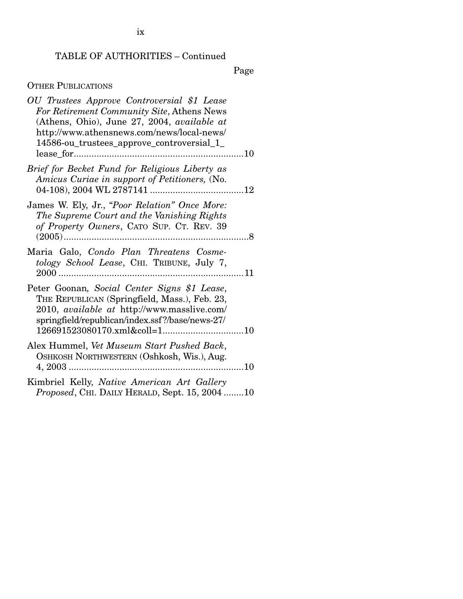Page

## OTHER PUBLICATIONS

| OU Trustees Approve Controversial \$1 Lease<br>For Retirement Community Site, Athens News<br>(Athens, Ohio), June 27, 2004, available at<br>http://www.athensnews.com/news/local-news/<br>14586-ou_trustees_approve_controversial_1_ |  |
|--------------------------------------------------------------------------------------------------------------------------------------------------------------------------------------------------------------------------------------|--|
| Brief for Becket Fund for Religious Liberty as<br>Amicus Curiae in support of Petitioners, (No.                                                                                                                                      |  |
| James W. Ely, Jr., "Poor Relation" Once More:<br>The Supreme Court and the Vanishing Rights<br>of Property Owners, CATO SUP. CT. REV. 39<br>$(2005)$                                                                                 |  |
| Maria Galo, Condo Plan Threatens Cosme-<br>tology School Lease, CHI. TRIBUNE, July 7,                                                                                                                                                |  |
| Peter Goonan, Social Center Signs \$1 Lease,<br>THE REPUBLICAN (Springfield, Mass.), Feb. 23,<br>2010, available at http://www.masslive.com/<br>springfield/republican/index.ssf?/base/news-27/                                      |  |
| Alex Hummel, Vet Museum Start Pushed Back,<br>OSHKOSH NORTHWESTERN (Oshkosh, Wis.), Aug.                                                                                                                                             |  |
| Kimbriel Kelly, Native American Art Gallery<br>Proposed, CHI. DAILY HERALD, Sept. 15, 200410                                                                                                                                         |  |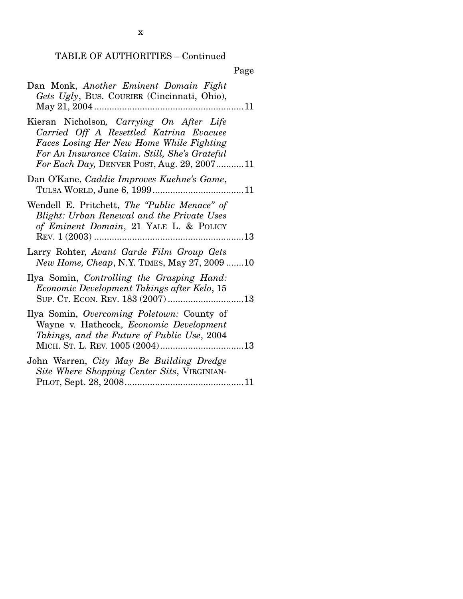| Dan Monk, Another Eminent Domain Fight<br>Gets Ugly, Bus. COURIER (Cincinnati, Ohio),                                                                                                                                          |
|--------------------------------------------------------------------------------------------------------------------------------------------------------------------------------------------------------------------------------|
| Kieran Nicholson, Carrying On After Life<br>Carried Off A Resettled Katrina Evacuee<br>Faces Losing Her New Home While Fighting<br>For An Insurance Claim. Still, She's Grateful<br>For Each Day, DENVER POST, Aug. 29, 200711 |
| Dan O'Kane, Caddie Improves Kuehne's Game,                                                                                                                                                                                     |
| Wendell E. Pritchett, The "Public Menace" of<br>Blight: Urban Renewal and the Private Uses<br>of Eminent Domain, 21 YALE L. & POLICY                                                                                           |
| Larry Rohter, Avant Garde Film Group Gets<br><i>New Home, Cheap, N.Y. TIMES, May 27, 2009 10</i>                                                                                                                               |
| Ilya Somin, Controlling the Grasping Hand:<br>Economic Development Takings after Kelo, 15                                                                                                                                      |
| Ilya Somin, Overcoming Poletown: County of<br>Wayne v. Hathcock, Economic Development<br>Takings, and the Future of Public Use, 2004                                                                                           |
| John Warren, City May Be Building Dredge<br>Site Where Shopping Center Sits, VIRGINIAN-                                                                                                                                        |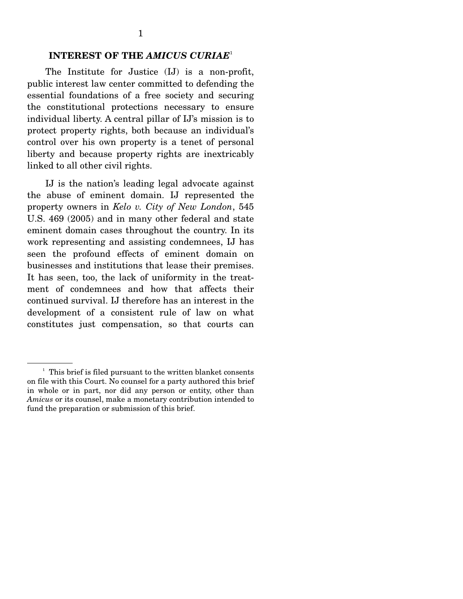#### **INTEREST OF THE** *AMICUS CURIAE*<sup>1</sup>

The Institute for Justice (IJ) is a non-profit, public interest law center committed to defending the essential foundations of a free society and securing the constitutional protections necessary to ensure individual liberty. A central pillar of IJ's mission is to protect property rights, both because an individual's control over his own property is a tenet of personal liberty and because property rights are inextricably linked to all other civil rights.

 IJ is the nation's leading legal advocate against the abuse of eminent domain. IJ represented the property owners in *Kelo v. City of New London*, 545 U.S. 469 (2005) and in many other federal and state eminent domain cases throughout the country. In its work representing and assisting condemnees, IJ has seen the profound effects of eminent domain on businesses and institutions that lease their premises. It has seen, too, the lack of uniformity in the treatment of condemnees and how that affects their continued survival. IJ therefore has an interest in the development of a consistent rule of law on what constitutes just compensation, so that courts can

<sup>&</sup>lt;sup>1</sup> This brief is filed pursuant to the written blanket consents on file with this Court. No counsel for a party authored this brief in whole or in part, nor did any person or entity, other than *Amicus* or its counsel, make a monetary contribution intended to fund the preparation or submission of this brief.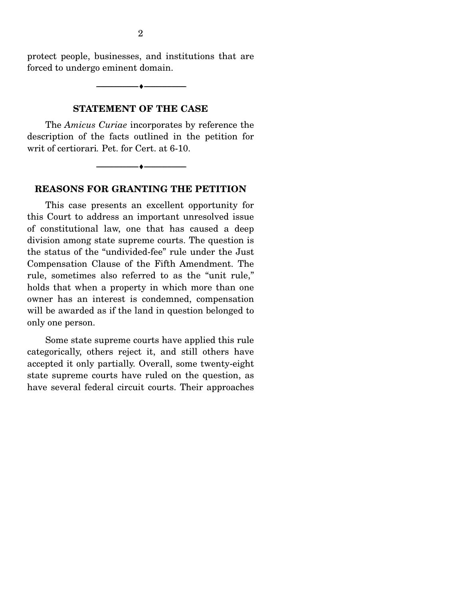protect people, businesses, and institutions that are forced to undergo eminent domain.

--------------------------------- ♦ ---------------------------------

#### **STATEMENT OF THE CASE**

The *Amicus Curiae* incorporates by reference the description of the facts outlined in the petition for writ of certiorari*.* Pet. for Cert. at 6-10.

--------------------------------- ♦ ---------------------------------

#### **REASONS FOR GRANTING THE PETITION**

This case presents an excellent opportunity for this Court to address an important unresolved issue of constitutional law, one that has caused a deep division among state supreme courts. The question is the status of the "undivided-fee" rule under the Just Compensation Clause of the Fifth Amendment. The rule, sometimes also referred to as the "unit rule," holds that when a property in which more than one owner has an interest is condemned, compensation will be awarded as if the land in question belonged to only one person.

 Some state supreme courts have applied this rule categorically, others reject it, and still others have accepted it only partially. Overall, some twenty-eight state supreme courts have ruled on the question, as have several federal circuit courts. Their approaches

2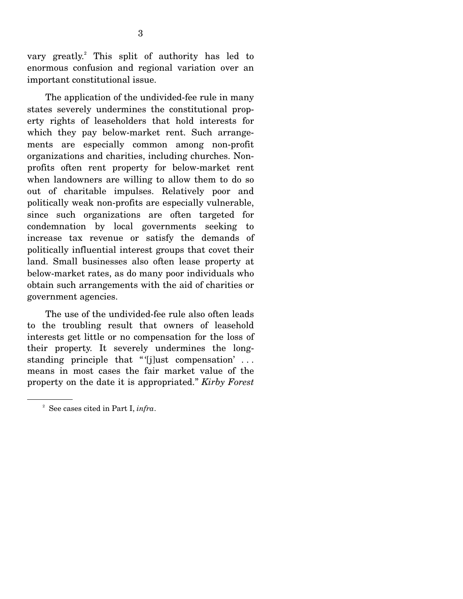vary greatly.<sup>2</sup> This split of authority has led to enormous confusion and regional variation over an important constitutional issue.

 The application of the undivided-fee rule in many states severely undermines the constitutional property rights of leaseholders that hold interests for which they pay below-market rent. Such arrangements are especially common among non-profit organizations and charities, including churches. Nonprofits often rent property for below-market rent when landowners are willing to allow them to do so out of charitable impulses. Relatively poor and politically weak non-profits are especially vulnerable, since such organizations are often targeted for condemnation by local governments seeking to increase tax revenue or satisfy the demands of politically influential interest groups that covet their land. Small businesses also often lease property at below-market rates, as do many poor individuals who obtain such arrangements with the aid of charities or government agencies.

 The use of the undivided-fee rule also often leads to the troubling result that owners of leasehold interests get little or no compensation for the loss of their property. It severely undermines the longstanding principle that " $[j]$ ust compensation' ... means in most cases the fair market value of the property on the date it is appropriated." *Kirby Forest* 

<sup>2</sup> See cases cited in Part I, *infra*.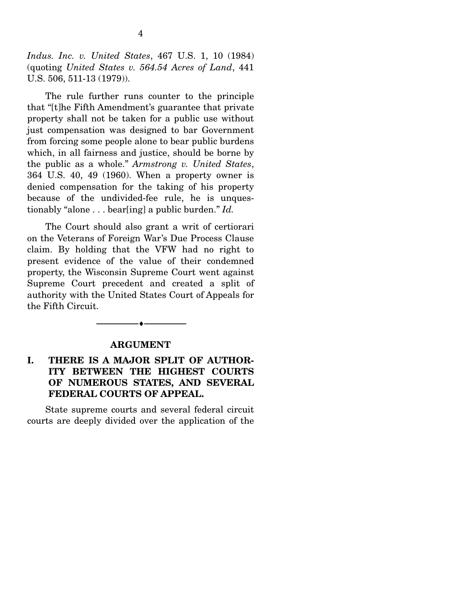*Indus. Inc. v. United States*, 467 U.S. 1, 10 (1984) (quoting *United States v. 564.54 Acres of Land*, 441 U.S. 506, 511-13 (1979)).

 The rule further runs counter to the principle that "[t]he Fifth Amendment's guarantee that private property shall not be taken for a public use without just compensation was designed to bar Government from forcing some people alone to bear public burdens which, in all fairness and justice, should be borne by the public as a whole." *Armstrong v. United States*, 364 U.S. 40, 49 (1960). When a property owner is denied compensation for the taking of his property because of the undivided-fee rule, he is unquestionably "alone . . . bear[ing] a public burden." *Id.* 

The Court should also grant a writ of certiorari on the Veterans of Foreign War's Due Process Clause claim. By holding that the VFW had no right to present evidence of the value of their condemned property, the Wisconsin Supreme Court went against Supreme Court precedent and created a split of authority with the United States Court of Appeals for the Fifth Circuit.

#### **ARGUMENT**

--------------------------------- ♦ ---------------------------------

#### **I. THERE IS A MAJOR SPLIT OF AUTHOR-ITY BETWEEN THE HIGHEST COURTS OF NUMEROUS STATES, AND SEVERAL FEDERAL COURTS OF APPEAL.**

State supreme courts and several federal circuit courts are deeply divided over the application of the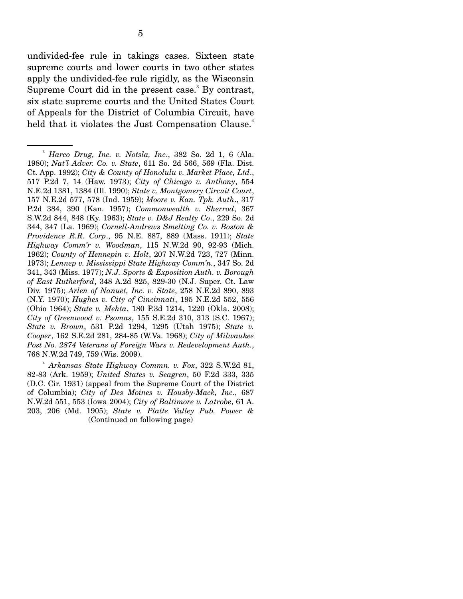undivided-fee rule in takings cases. Sixteen state supreme courts and lower courts in two other states apply the undivided-fee rule rigidly, as the Wisconsin Supreme Court did in the present case.<sup>3</sup> By contrast, six state supreme courts and the United States Court of Appeals for the District of Columbia Circuit, have held that it violates the Just Compensation Clause.<sup>4</sup>

<sup>3</sup> *Harco Drug, Inc. v. Notsla, Inc*., 382 So. 2d 1, 6 (Ala. 1980); *Nat'l Adver. Co. v. State*, 611 So. 2d 566, 569 (Fla. Dist. Ct. App. 1992); *City & County of Honolulu v. Market Place, Ltd*., 517 P.2d 7, 14 (Haw. 1973); *City of Chicago v. Anthony*, 554 N.E.2d 1381, 1384 (Ill. 1990); *State v. Montgomery Circuit Court*, 157 N.E.2d 577, 578 (Ind. 1959); *Moore v. Kan. Tpk. Auth*., 317 P.2d 384, 390 (Kan. 1957); *Commonwealth v. Sherrod*, 367 S.W.2d 844, 848 (Ky. 1963); *State v. D&J Realty Co*., 229 So. 2d 344, 347 (La. 1969); *Cornell-Andrews Smelting Co. v. Boston & Providence R.R. Corp*., 95 N.E. 887, 889 (Mass. 1911); *State Highway Comm'r v. Woodman*, 115 N.W.2d 90, 92-93 (Mich. 1962); *County of Hennepin v. Holt*, 207 N.W.2d 723, 727 (Minn. 1973); *Lennep v. Mississippi State Highway Comm'n.*, 347 So. 2d 341, 343 (Miss. 1977); *N.J. Sports & Exposition Auth. v. Borough of East Rutherford*, 348 A.2d 825, 829-30 (N.J. Super. Ct. Law Div. 1975); *Arlen of Nanuet, Inc. v. State*, 258 N.E.2d 890, 893 (N.Y. 1970); *Hughes v. City of Cincinnati*, 195 N.E.2d 552, 556 (Ohio 1964); *State v. Mehta*, 180 P.3d 1214, 1220 (Okla. 2008); *City of Greenwood v. Psomas*, 155 S.E.2d 310, 313 (S.C. 1967); *State v. Brown*, 531 P.2d 1294, 1295 (Utah 1975); *State v. Cooper*, 162 S.E.2d 281, 284-85 (W.Va. 1968); *City of Milwaukee Post No. 2874 Veterans of Foreign Wars v. Redevelopment Auth.*, 768 N.W.2d 749, 759 (Wis. 2009).

<sup>4</sup> *Arkansas State Highway Commn. v. Fox*, 322 S.W.2d 81, 82-83 (Ark. 1959); *United States v. Seagren*, 50 F.2d 333, 335 (D.C. Cir. 1931) (appeal from the Supreme Court of the District of Columbia); *City of Des Moines v. Housby-Mack, Inc*., 687 N.W.2d 551, 553 (Iowa 2004); *City of Baltimore v. Latrobe*, 61 A. 203, 206 (Md. 1905); *State v. Platte Valley Pub. Power &*  (Continued on following page)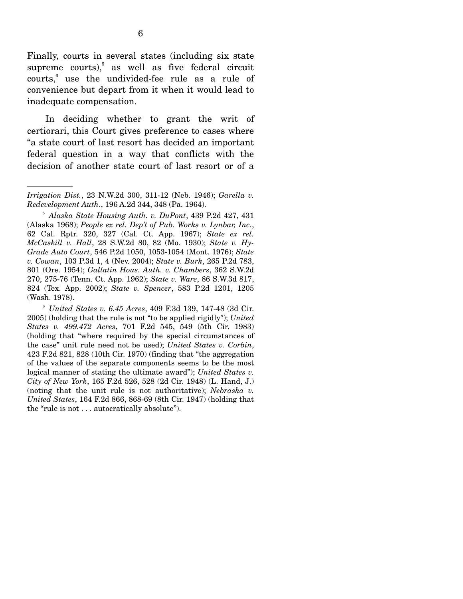Finally, courts in several states (including six state supreme courts), $5$  as well as five federal circuit courts,<sup>6</sup> use the undivided-fee rule as a rule of convenience but depart from it when it would lead to inadequate compensation.

 In deciding whether to grant the writ of certiorari, this Court gives preference to cases where "a state court of last resort has decided an important federal question in a way that conflicts with the decision of another state court of last resort or of a

<sup>6</sup> *United States v. 6.45 Acres*, 409 F.3d 139, 147-48 (3d Cir. 2005) (holding that the rule is not "to be applied rigidly"); *United States v. 499.472 Acres*, 701 F.2d 545, 549 (5th Cir. 1983) (holding that "where required by the special circumstances of the case" unit rule need not be used); *United States v. Corbin*, 423 F.2d 821, 828 (10th Cir. 1970) (finding that "the aggregation of the values of the separate components seems to be the most logical manner of stating the ultimate award"); *United States v. City of New York*, 165 F.2d 526, 528 (2d Cir. 1948) (L. Hand, J.) (noting that the unit rule is not authoritative); *Nebraska v. United States*, 164 F.2d 866, 868-69 (8th Cir. 1947) (holding that the "rule is not . . . autocratically absolute").

*Irrigation Dist.*, 23 N.W.2d 300, 311-12 (Neb. 1946); *Garella v. Redevelopment Auth*., 196 A.2d 344, 348 (Pa. 1964).

<sup>5</sup> *Alaska State Housing Auth. v. DuPont*, 439 P.2d 427, 431 (Alaska 1968); *People ex rel. Dep't of Pub. Works v. Lynbar, Inc.*, 62 Cal. Rptr. 320, 327 (Cal. Ct. App. 1967); *State ex rel. McCaskill v. Hall*, 28 S.W.2d 80, 82 (Mo. 1930); *State v. Hy-Grade Auto Court*, 546 P.2d 1050, 1053-1054 (Mont. 1976); *State v. Cowan*, 103 P.3d 1, 4 (Nev. 2004); *State v. Burk*, 265 P.2d 783, 801 (Ore. 1954); *Gallatin Hous. Auth. v. Chambers*, 362 S.W.2d 270, 275-76 (Tenn. Ct. App. 1962); *State v. Ware*, 86 S.W.3d 817, 824 (Tex. App. 2002); *State v. Spencer*, 583 P.2d 1201, 1205 (Wash. 1978).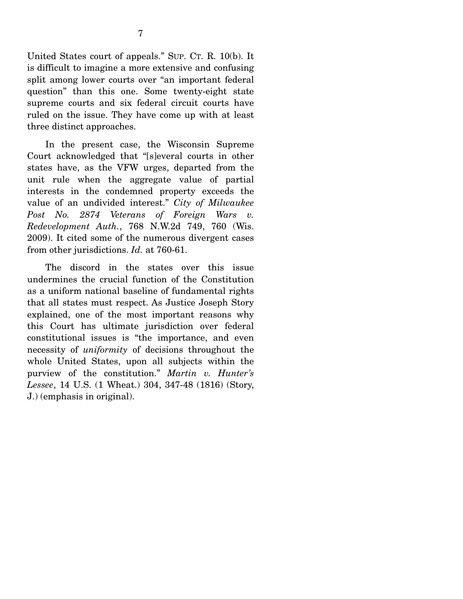United States court of appeals." SUP. CT. R. 10(b). It is difficult to imagine a more extensive and confusing split among lower courts over "an important federal question" than this one. Some twenty-eight state supreme courts and six federal circuit courts have ruled on the issue. They have come up with at least three distinct approaches.

 In the present case, the Wisconsin Supreme Court acknowledged that "[s]everal courts in other states have, as the VFW urges, departed from the unit rule when the aggregate value of partial interests in the condemned property exceeds the value of an undivided interest." *City of Milwaukee Post No. 2874 Veterans of Foreign Wars v. Redevelopment Auth.*, 768 N.W.2d 749, 760 (Wis. 2009). It cited some of the numerous divergent cases from other jurisdictions. *Id.* at 760-61.

 The discord in the states over this issue undermines the crucial function of the Constitution as a uniform national baseline of fundamental rights that all states must respect. As Justice Joseph Story explained, one of the most important reasons why this Court has ultimate jurisdiction over federal constitutional issues is "the importance, and even necessity of *uniformity* of decisions throughout the whole United States, upon all subjects within the purview of the constitution." *Martin v. Hunter's Lessee*, 14 U.S. (1 Wheat.) 304, 347-48 (1816) (Story, J.) (emphasis in original).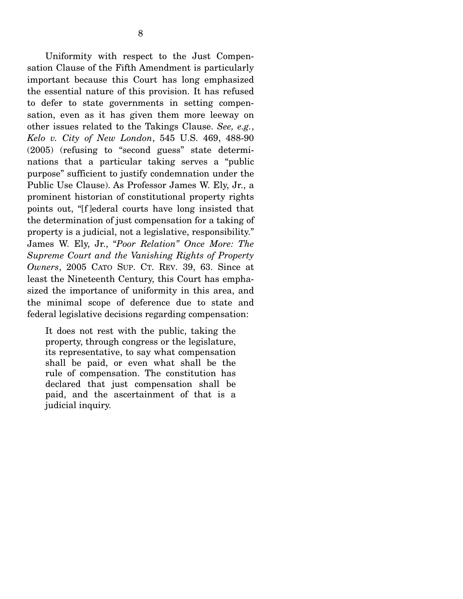Uniformity with respect to the Just Compensation Clause of the Fifth Amendment is particularly important because this Court has long emphasized the essential nature of this provision. It has refused to defer to state governments in setting compensation, even as it has given them more leeway on other issues related to the Takings Clause. *See, e.g.*, *Kelo v. City of New London*, 545 U.S. 469, 488-90 (2005) (refusing to "second guess" state determinations that a particular taking serves a "public purpose" sufficient to justify condemnation under the Public Use Clause). As Professor James W. Ely, Jr., a prominent historian of constitutional property rights points out, "[f ]ederal courts have long insisted that the determination of just compensation for a taking of property is a judicial, not a legislative, responsibility." James W. Ely, Jr., "*Poor Relation" Once More: The Supreme Court and the Vanishing Rights of Property Owners*, 2005 CATO SUP. CT. REV. 39, 63. Since at least the Nineteenth Century, this Court has emphasized the importance of uniformity in this area, and the minimal scope of deference due to state and federal legislative decisions regarding compensation:

It does not rest with the public, taking the property, through congress or the legislature, its representative, to say what compensation shall be paid, or even what shall be the rule of compensation. The constitution has declared that just compensation shall be paid, and the ascertainment of that is a judicial inquiry.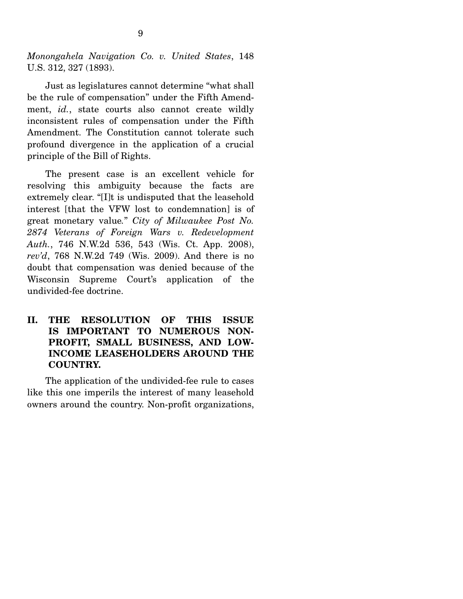*Monongahela Navigation Co. v. United States*, 148 U.S. 312, 327 (1893).

Just as legislatures cannot determine "what shall be the rule of compensation" under the Fifth Amendment, *id.*, state courts also cannot create wildly inconsistent rules of compensation under the Fifth Amendment. The Constitution cannot tolerate such profound divergence in the application of a crucial principle of the Bill of Rights.

 The present case is an excellent vehicle for resolving this ambiguity because the facts are extremely clear. "[I]t is undisputed that the leasehold interest [that the VFW lost to condemnation] is of great monetary value*.*" *City of Milwaukee Post No. 2874 Veterans of Foreign Wars v. Redevelopment Auth.*, 746 N.W.2d 536, 543 (Wis. Ct. App. 2008), *rev'd*, 768 N.W.2d 749 (Wis. 2009). And there is no doubt that compensation was denied because of the Wisconsin Supreme Court's application of the undivided-fee doctrine.

#### **II. THE RESOLUTION OF THIS ISSUE IS IMPORTANT TO NUMEROUS NON-PROFIT, SMALL BUSINESS, AND LOW-INCOME LEASEHOLDERS AROUND THE COUNTRY.**

The application of the undivided-fee rule to cases like this one imperils the interest of many leasehold owners around the country. Non-profit organizations,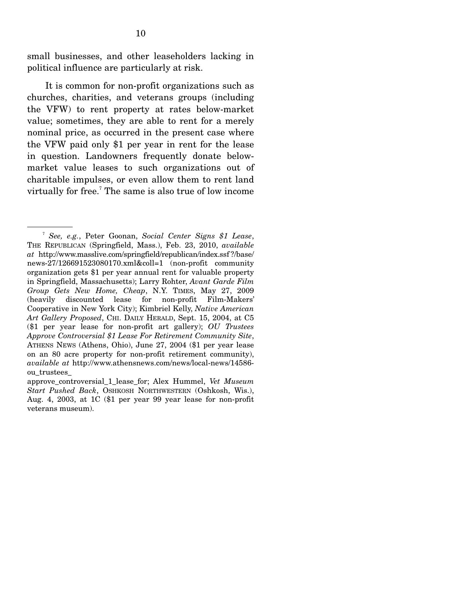small businesses, and other leaseholders lacking in political influence are particularly at risk.

 It is common for non-profit organizations such as churches, charities, and veterans groups (including the VFW) to rent property at rates below-market value; sometimes, they are able to rent for a merely nominal price, as occurred in the present case where the VFW paid only \$1 per year in rent for the lease in question. Landowners frequently donate belowmarket value leases to such organizations out of charitable impulses, or even allow them to rent land virtually for free.<sup>7</sup> The same is also true of low income

<sup>7</sup> *See, e.g.*, Peter Goonan, *Social Center Signs \$1 Lease*, THE REPUBLICAN (Springfield, Mass.), Feb. 23, 2010, *available at* http://www.masslive.com/springfield/republican/index.ssf ?/base/ news-27/126691523080170.xml&coll=1 (non-profit community organization gets \$1 per year annual rent for valuable property in Springfield, Massachusetts); Larry Rohter, *Avant Garde Film Group Gets New Home, Cheap*, N.Y. TIMES, May 27, 2009 (heavily discounted lease for non-profit Film-Makers' Cooperative in New York City); Kimbriel Kelly, *Native American Art Gallery Proposed*, CHI. DAILY HERALD, Sept. 15, 2004, at C5 (\$1 per year lease for non-profit art gallery); *OU Trustees Approve Controversial \$1 Lease For Retirement Community Site*, ATHENS NEWS (Athens, Ohio), June 27, 2004 (\$1 per year lease on an 80 acre property for non-profit retirement community), *available at* http://www.athensnews.com/news/local-news/14586 ou\_trustees\_

approve\_controversial\_1\_lease\_for; Alex Hummel, *Vet Museum Start Pushed Back*, OSHKOSH NORTHWESTERN (Oshkosh, Wis.), Aug. 4, 2003, at 1C (\$1 per year 99 year lease for non-profit veterans museum).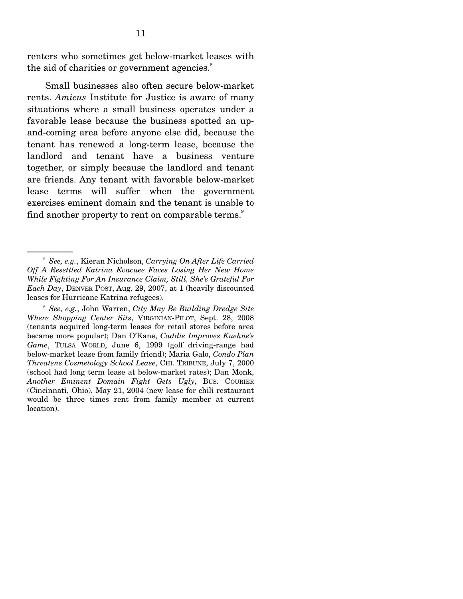renters who sometimes get below-market leases with the aid of charities or government agencies.<sup>8</sup>

 Small businesses also often secure below-market rents. *Amicus* Institute for Justice is aware of many situations where a small business operates under a favorable lease because the business spotted an upand-coming area before anyone else did, because the tenant has renewed a long-term lease, because the landlord and tenant have a business venture together, or simply because the landlord and tenant are friends. Any tenant with favorable below-market lease terms will suffer when the government exercises eminent domain and the tenant is unable to find another property to rent on comparable terms.<sup>9</sup>

<sup>8</sup> *See, e.g.*, Kieran Nicholson, *Carrying On After Life Carried Off A Resettled Katrina Evacuee Faces Losing Her New Home While Fighting For An Insurance Claim, Still, She's Grateful For Each Day*, DENVER POST, Aug. 29, 2007, at 1 (heavily discounted leases for Hurricane Katrina refugees).

<sup>9</sup> *See, e.g.*, John Warren, *City May Be Building Dredge Site Where Shopping Center Sits*, VIRGINIAN-PILOT, Sept. 28, 2008 (tenants acquired long-term leases for retail stores before area became more popular); Dan O'Kane, *Caddie Improves Kuehne's Game*, TULSA WORLD, June 6, 1999 (golf driving-range had below-market lease from family friend); Maria Galo, *Condo Plan Threatens Cosmetology School Lease*, CHI. TRIBUNE, July 7, 2000 (school had long term lease at below-market rates); Dan Monk, *Another Eminent Domain Fight Gets Ugly*, BUS. COURIER (Cincinnati, Ohio), May 21, 2004 (new lease for chili restaurant would be three times rent from family member at current location).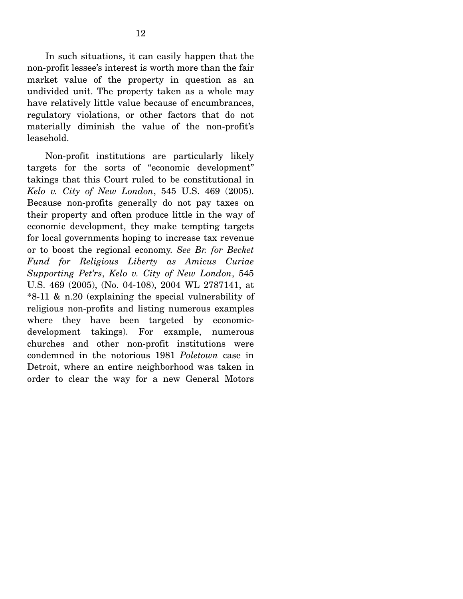In such situations, it can easily happen that the non-profit lessee's interest is worth more than the fair market value of the property in question as an undivided unit. The property taken as a whole may have relatively little value because of encumbrances, regulatory violations, or other factors that do not materially diminish the value of the non-profit's leasehold.

 Non-profit institutions are particularly likely targets for the sorts of "economic development" takings that this Court ruled to be constitutional in *Kelo v. City of New London*, 545 U.S. 469 (2005). Because non-profits generally do not pay taxes on their property and often produce little in the way of economic development, they make tempting targets for local governments hoping to increase tax revenue or to boost the regional economy. *See Br. for Becket Fund for Religious Liberty as Amicus Curiae Supporting Pet'rs*, *Kelo v. City of New London*, 545 U.S. 469 (2005), (No. 04-108), 2004 WL 2787141, at \*8-11 & n.20 (explaining the special vulnerability of religious non-profits and listing numerous examples where they have been targeted by economicdevelopment takings). For example, numerous churches and other non-profit institutions were condemned in the notorious 1981 *Poletown* case in Detroit, where an entire neighborhood was taken in order to clear the way for a new General Motors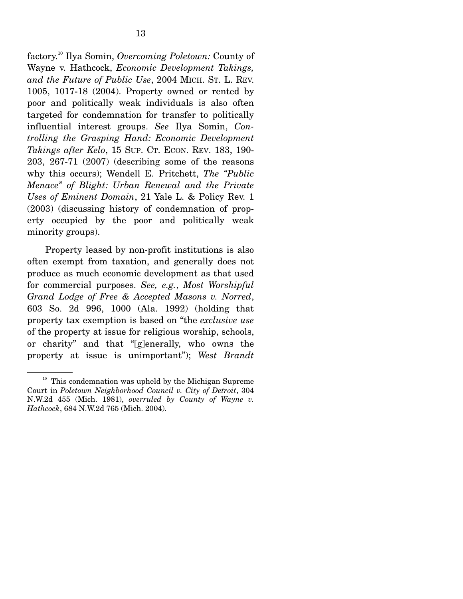factory.10 Ilya Somin, *Overcoming Poletown:* County of Wayne v. Hathcock, *Economic Development Takings, and the Future of Public Use*, 2004 MICH. ST. L. REV. 1005, 1017-18 (2004). Property owned or rented by poor and politically weak individuals is also often targeted for condemnation for transfer to politically influential interest groups. *See* Ilya Somin, *Controlling the Grasping Hand: Economic Development Takings after Kelo*, 15 SUP. CT. ECON. REV. 183, 190- 203, 267-71 (2007) (describing some of the reasons why this occurs); Wendell E. Pritchett, *The "Public Menace" of Blight: Urban Renewal and the Private Uses of Eminent Domain*, 21 Yale L. & Policy Rev. 1 (2003) (discussing history of condemnation of property occupied by the poor and politically weak minority groups).

Property leased by non-profit institutions is also often exempt from taxation, and generally does not produce as much economic development as that used for commercial purposes. *See, e.g.*, *Most Worshipful Grand Lodge of Free & Accepted Masons v. Norred*, 603 So. 2d 996, 1000 (Ala. 1992) (holding that property tax exemption is based on "the *exclusive use* of the property at issue for religious worship, schools, or charity" and that "[g]enerally, who owns the property at issue is unimportant"); *West Brandt* 

 $10$  This condemnation was upheld by the Michigan Supreme Court in *Poletown Neighborhood Council v. City of Detroit*, 304 N.W.2d 455 (Mich. 1981), *overruled by County of Wayne v. Hathcock*, 684 N.W.2d 765 (Mich. 2004).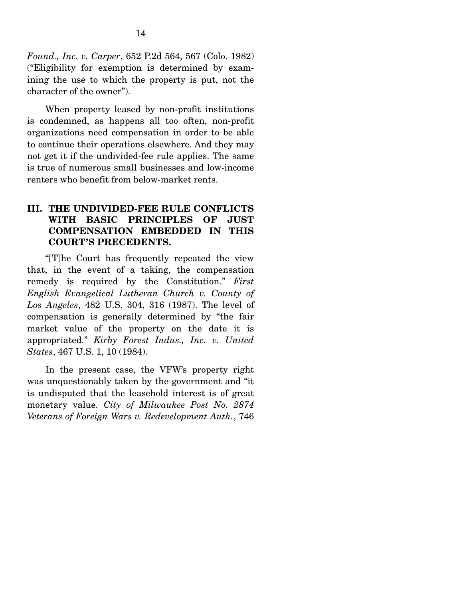*Found., Inc. v. Carper*, 652 P.2d 564, 567 (Colo. 1982) ("Eligibility for exemption is determined by examining the use to which the property is put, not the character of the owner").

 When property leased by non-profit institutions is condemned, as happens all too often, non-profit organizations need compensation in order to be able to continue their operations elsewhere. And they may not get it if the undivided-fee rule applies. The same is true of numerous small businesses and low-income renters who benefit from below-market rents.

### **III. THE UNDIVIDED-FEE RULE CONFLICTS WITH BASIC PRINCIPLES OF JUST COMPENSATION EMBEDDED IN THIS COURT'S PRECEDENTS.**

 "[T]he Court has frequently repeated the view that, in the event of a taking, the compensation remedy is required by the Constitution." *First English Evangelical Lutheran Church v. County of Los Angeles*, 482 U.S. 304, 316 (1987). The level of compensation is generally determined by "the fair market value of the property on the date it is appropriated." *Kirby Forest Indus., Inc. v. United States*, 467 U.S. 1, 10 (1984).

 In the present case, the VFW's property right was unquestionably taken by the government and "it is undisputed that the leasehold interest is of great monetary value*. City of Milwaukee Post No. 2874 Veterans of Foreign Wars v. Redevelopment Auth.*, 746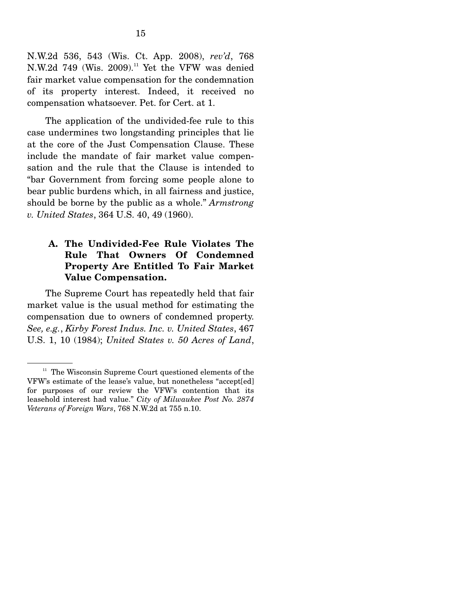N.W.2d 536, 543 (Wis. Ct. App. 2008), *rev'd*, 768 N.W.2d 749 (Wis. 2009).<sup>11</sup> Yet the VFW was denied fair market value compensation for the condemnation of its property interest. Indeed, it received no compensation whatsoever. Pet. for Cert. at 1.

 The application of the undivided-fee rule to this case undermines two longstanding principles that lie at the core of the Just Compensation Clause. These include the mandate of fair market value compensation and the rule that the Clause is intended to "bar Government from forcing some people alone to bear public burdens which, in all fairness and justice, should be borne by the public as a whole." *Armstrong v. United States*, 364 U.S. 40, 49 (1960).

### **A. The Undivided-Fee Rule Violates The Rule That Owners Of Condemned Property Are Entitled To Fair Market Value Compensation.**

The Supreme Court has repeatedly held that fair market value is the usual method for estimating the compensation due to owners of condemned property. *See, e.g.*, *Kirby Forest Indus. Inc. v. United States*, 467 U.S. 1, 10 (1984); *United States v. 50 Acres of Land*,

 $11$  The Wisconsin Supreme Court questioned elements of the VFW's estimate of the lease's value, but nonetheless "accept[ed] for purposes of our review the VFW's contention that its leasehold interest had value." *City of Milwaukee Post No. 2874 Veterans of Foreign Wars*, 768 N.W.2d at 755 n.10.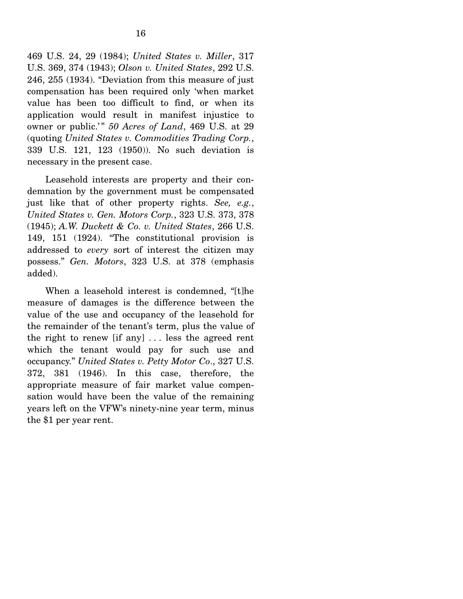469 U.S. 24, 29 (1984); *United States v. Miller*, 317 U.S. 369, 374 (1943); *Olson v. United States*, 292 U.S. 246, 255 (1934). "Deviation from this measure of just compensation has been required only 'when market value has been too difficult to find, or when its application would result in manifest injustice to owner or public.'" 50 Acres of Land, 469 U.S. at 29 (quoting *United States v. Commodities Trading Corp.*, 339 U.S. 121, 123 (1950)). No such deviation is necessary in the present case.

 Leasehold interests are property and their condemnation by the government must be compensated just like that of other property rights. *See, e.g.*, *United States v. Gen. Motors Corp.*, 323 U.S. 373, 378 (1945); *A.W. Duckett & Co. v. United States*, 266 U.S. 149, 151 (1924). "The constitutional provision is addressed to *every* sort of interest the citizen may possess." *Gen. Motors*, 323 U.S. at 378 (emphasis added).

 When a leasehold interest is condemned, "[t]he measure of damages is the difference between the value of the use and occupancy of the leasehold for the remainder of the tenant's term, plus the value of the right to renew [if any] . . . less the agreed rent which the tenant would pay for such use and occupancy." *United States v. Petty Motor Co*., 327 U.S. 372, 381 (1946). In this case, therefore, the appropriate measure of fair market value compensation would have been the value of the remaining years left on the VFW's ninety-nine year term, minus the \$1 per year rent.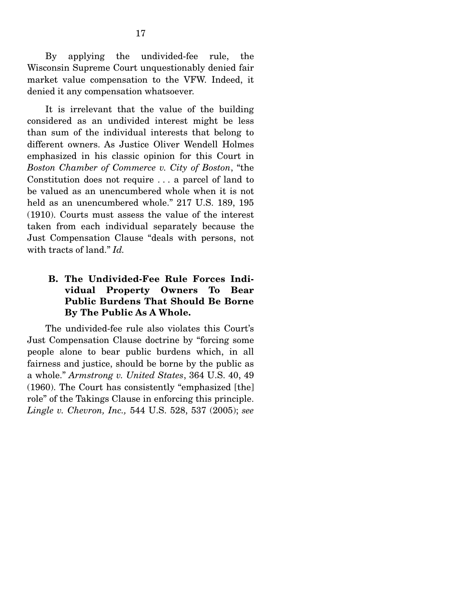By applying the undivided-fee rule, the Wisconsin Supreme Court unquestionably denied fair market value compensation to the VFW. Indeed, it denied it any compensation whatsoever.

 It is irrelevant that the value of the building considered as an undivided interest might be less than sum of the individual interests that belong to different owners. As Justice Oliver Wendell Holmes emphasized in his classic opinion for this Court in *Boston Chamber of Commerce v. City of Boston*, "the Constitution does not require . . . a parcel of land to be valued as an unencumbered whole when it is not held as an unencumbered whole." 217 U.S. 189, 195 (1910). Courts must assess the value of the interest taken from each individual separately because the Just Compensation Clause "deals with persons, not with tracts of land." *Id.* 

### **B. The Undivided-Fee Rule Forces Individual Property Owners To Bear Public Burdens That Should Be Borne By The Public As A Whole.**

The undivided-fee rule also violates this Court's Just Compensation Clause doctrine by "forcing some people alone to bear public burdens which, in all fairness and justice, should be borne by the public as a whole." *Armstrong v. United States*, 364 U.S. 40, 49 (1960). The Court has consistently "emphasized [the] role" of the Takings Clause in enforcing this principle. *Lingle v. Chevron, Inc.,* 544 U.S. 528, 537 (2005); *see*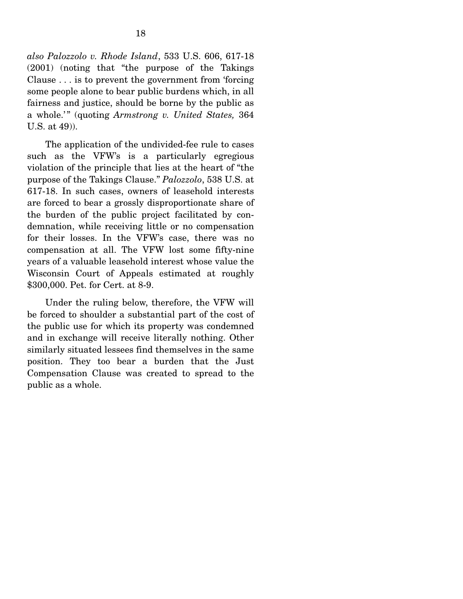*also Palozzolo v. Rhode Island*, 533 U.S. 606, 617-18 (2001) (noting that "the purpose of the Takings Clause . . . is to prevent the government from 'forcing some people alone to bear public burdens which, in all fairness and justice, should be borne by the public as a whole.'" (quoting *Armstrong v. United States,* 364 U.S. at 49)).

 The application of the undivided-fee rule to cases such as the VFW's is a particularly egregious violation of the principle that lies at the heart of "the purpose of the Takings Clause." *Palozzolo*, 538 U.S. at 617-18. In such cases, owners of leasehold interests are forced to bear a grossly disproportionate share of the burden of the public project facilitated by condemnation, while receiving little or no compensation for their losses. In the VFW's case, there was no compensation at all. The VFW lost some fifty-nine years of a valuable leasehold interest whose value the Wisconsin Court of Appeals estimated at roughly \$300,000. Pet. for Cert. at 8-9.

 Under the ruling below, therefore, the VFW will be forced to shoulder a substantial part of the cost of the public use for which its property was condemned and in exchange will receive literally nothing. Other similarly situated lessees find themselves in the same position. They too bear a burden that the Just Compensation Clause was created to spread to the public as a whole.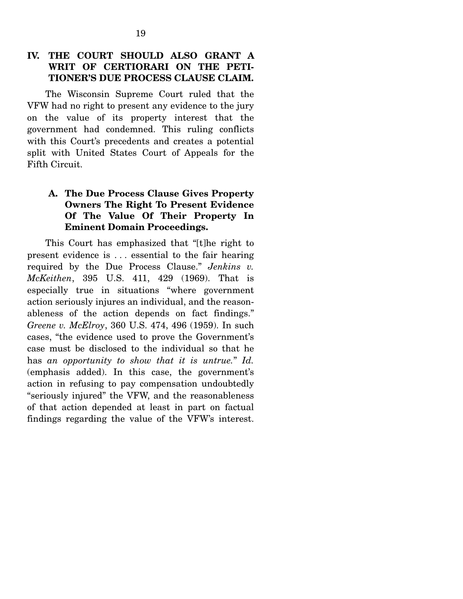### **IV. THE COURT SHOULD ALSO GRANT A WRIT OF CERTIORARI ON THE PETI-TIONER'S DUE PROCESS CLAUSE CLAIM.**

The Wisconsin Supreme Court ruled that the VFW had no right to present any evidence to the jury on the value of its property interest that the government had condemned. This ruling conflicts with this Court's precedents and creates a potential split with United States Court of Appeals for the Fifth Circuit.

### **A. The Due Process Clause Gives Property Owners The Right To Present Evidence Of The Value Of Their Property In Eminent Domain Proceedings.**

This Court has emphasized that "[t]he right to present evidence is . . . essential to the fair hearing required by the Due Process Clause." *Jenkins v. McKeithen*, 395 U.S. 411, 429 (1969). That is especially true in situations "where government action seriously injures an individual, and the reasonableness of the action depends on fact findings." *Greene v. McElroy*, 360 U.S. 474, 496 (1959). In such cases, "the evidence used to prove the Government's case must be disclosed to the individual so that he has *an opportunity to show that it is untrue.*" *Id.*  (emphasis added). In this case, the government's action in refusing to pay compensation undoubtedly "seriously injured" the VFW, and the reasonableness of that action depended at least in part on factual findings regarding the value of the VFW's interest.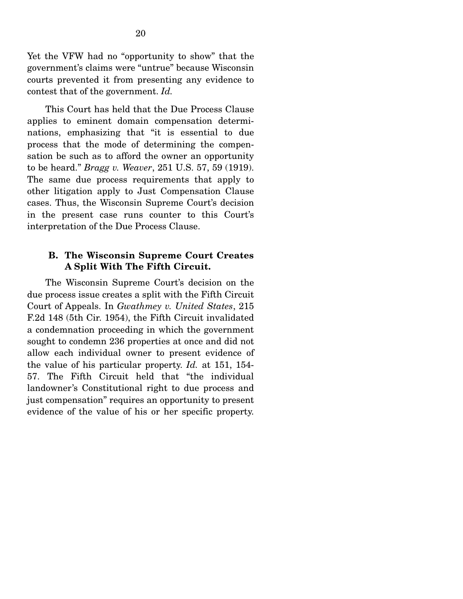Yet the VFW had no "opportunity to show" that the government's claims were "untrue" because Wisconsin courts prevented it from presenting any evidence to contest that of the government. *Id.* 

This Court has held that the Due Process Clause applies to eminent domain compensation determinations, emphasizing that "it is essential to due process that the mode of determining the compensation be such as to afford the owner an opportunity to be heard." *Bragg v. Weaver*, 251 U.S. 57, 59 (1919). The same due process requirements that apply to other litigation apply to Just Compensation Clause cases. Thus, the Wisconsin Supreme Court's decision in the present case runs counter to this Court's interpretation of the Due Process Clause.

#### **B. The Wisconsin Supreme Court Creates A Split With The Fifth Circuit.**

The Wisconsin Supreme Court's decision on the due process issue creates a split with the Fifth Circuit Court of Appeals. In *Gwathmey v. United States*, 215 F.2d 148 (5th Cir. 1954), the Fifth Circuit invalidated a condemnation proceeding in which the government sought to condemn 236 properties at once and did not allow each individual owner to present evidence of the value of his particular property. *Id.* at 151, 154- 57. The Fifth Circuit held that "the individual landowner's Constitutional right to due process and just compensation" requires an opportunity to present evidence of the value of his or her specific property.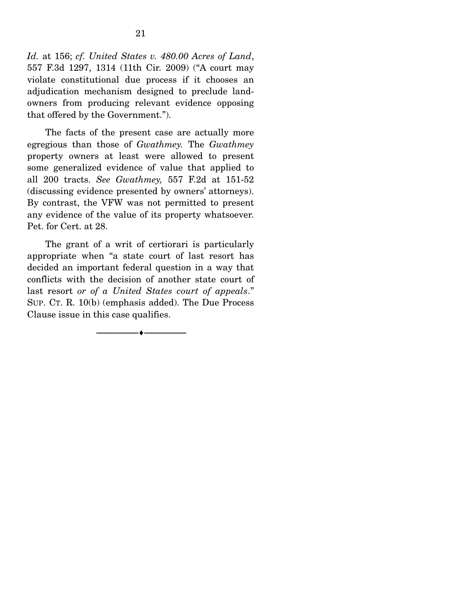*Id.* at 156; *cf. United States v. 480.00 Acres of Land*, 557 F.3d 1297, 1314 (11th Cir. 2009) ("A court may violate constitutional due process if it chooses an adjudication mechanism designed to preclude landowners from producing relevant evidence opposing that offered by the Government.").

 The facts of the present case are actually more egregious than those of *Gwathmey.* The *Gwathmey*  property owners at least were allowed to present some generalized evidence of value that applied to all 200 tracts. *See Gwathmey,* 557 F.2d at 151-52 (discussing evidence presented by owners' attorneys). By contrast, the VFW was not permitted to present any evidence of the value of its property whatsoever. Pet. for Cert. at 28.

 The grant of a writ of certiorari is particularly appropriate when "a state court of last resort has decided an important federal question in a way that conflicts with the decision of another state court of last resort *or of a United States court of appeals*." SUP. CT. R. 10(b) (emphasis added). The Due Process Clause issue in this case qualifies.

--------------------------------- ♦ ---------------------------------